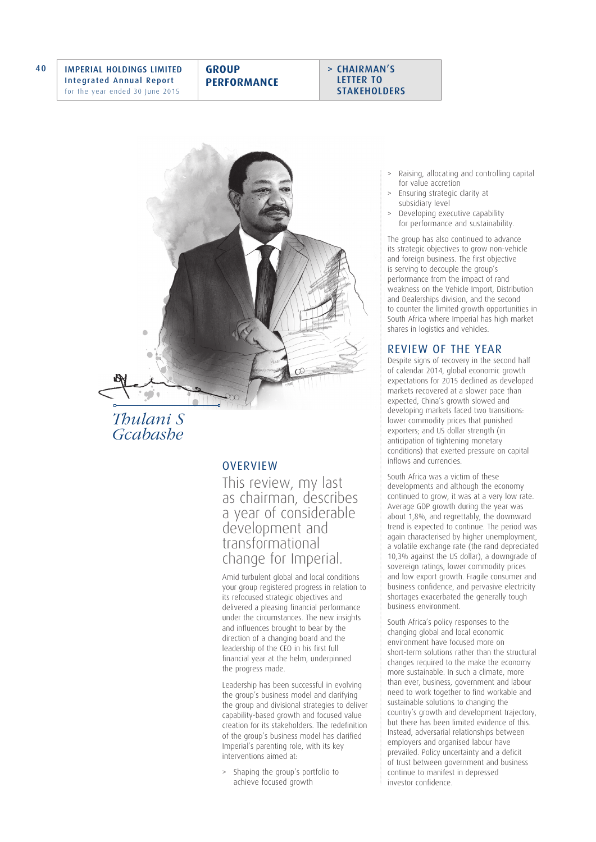



*Thulani S Gcabashe*

## **OVERVIEW**

This review, my last as chairman, describes a year of considerable development and transformational change for Imperial.

Amid turbulent global and local conditions your group registered progress in relation to its refocused strategic objectives and delivered a pleasing financial performance under the circumstances. The new insights and influences brought to bear by the direction of a changing board and the leadership of the CEO in his first full financial year at the helm, underpinned the progress made.

Leadership has been successful in evolving the group's business model and clarifying the group and divisional strategies to deliver capability-based growth and focused value creation for its stakeholders. The redefinition of the group's business model has clarified Imperial's parenting role, with its key interventions aimed at:

Shaping the group's portfolio to achieve focused growth

- Raising, allocating and controlling capital for value accretion
- > Ensuring strategic clarity at subsidiary level
- Developing executive capability for performance and sustainability.

The group has also continued to advance its strategic objectives to grow non-vehicle and foreign business. The first objective is serving to decouple the group's performance from the impact of rand weakness on the Vehicle Import, Distribution and Dealerships division, and the second to counter the limited growth opportunities in South Africa where Imperial has high market shares in logistics and vehicles.

## REVIEW OF THE YEAR

Despite signs of recovery in the second half of calendar 2014, global economic growth expectations for 2015 declined as developed markets recovered at a slower pace than expected, China's growth slowed and developing markets faced two transitions: lower commodity prices that punished exporters; and US dollar strength (in anticipation of tightening monetary conditions) that exerted pressure on capital inflows and currencies.

South Africa was a victim of these developments and although the economy continued to grow, it was at a very low rate. Average GDP growth during the year was about 1,8%, and regrettably, the downward trend is expected to continue. The period was again characterised by higher unemployment, a volatile exchange rate (the rand depreciated 10,3% against the US dollar), a downgrade of sovereign ratings, lower commodity prices and low export growth. Fragile consumer and business confidence, and pervasive electricity shortages exacerbated the generally tough business environment.

South Africa's policy responses to the changing global and local economic environment have focused more on short-term solutions rather than the structural changes required to the make the economy more sustainable. In such a climate, more than ever, business, government and labour need to work together to find workable and sustainable solutions to changing the country's growth and development trajectory, but there has been limited evidence of this. Instead, adversarial relationships between employers and organised labour have prevailed. Policy uncertainty and a deficit of trust between government and business continue to manifest in depressed investor confidence.